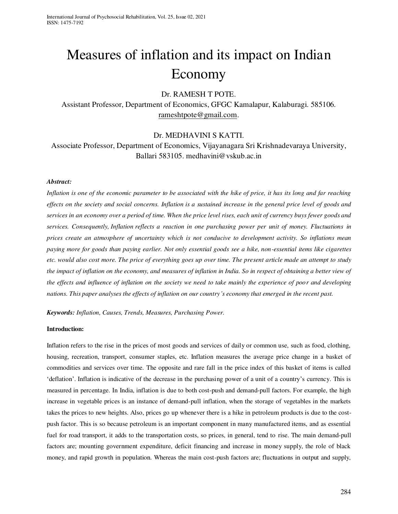# Measures of inflation and its impact on Indian Economy

# Dr. RAMESH T POTE.

Assistant Professor, Department of Economics, GFGC Kamalapur, Kalaburagi. 585106. [rameshtpote@gmail.com.](mailto:rameshtpote@gmail.com)

## Dr. MEDHAVINI S KATTI.

Associate Professor, Department of Economics, Vijayanagara Sri Krishnadevaraya University, Ballari 583105. medhavini@vskub.ac.in

## *Abstract:*

*Inflation is one of the economic parameter to be associated with the hike of price, it has its long and far reaching effects on the society and social concerns. Inflation is a sustained increase in the general price level of goods and services in an economy over a period of time. When the price level rises, each unit of currency buys fewer goods and services. Consequently, Inflation reflects a reaction in one purchasing power per unit of money. Fluctuations in prices create an atmosphere of uncertainty which is not conducive to development activity. So inflations mean paying more for goods than paying earlier. Not only essential goods see a hike, non-essential items like cigarettes etc. would also cost more. The price of everything goes up over time. The present article made an attempt to study the impact of inflation on the economy, and measures of inflation in India. So in respect of obtaining a better view of the effects and influence of inflation on the society we need to take mainly the experience of poor and developing nations. This paper analyses the effects of inflation on our country's economy that emerged in the recent past.* 

*Keywords: Inflation, Causes, Trends, Measures, Purchasing Power.* 

## **Introduction:**

Inflation refers to the rise in the prices of most goods and services of daily or common use, such as food, clothing, housing, recreation, transport, consumer staples, etc. Inflation measures the average price change in a basket of commodities and services over time. The opposite and rare fall in the price index of this basket of items is called 'deflation'. Inflation is indicative of the decrease in the purchasing power of a unit of a country's currency. This is measured in percentage. In India, inflation is due to both cost-push and demand-pull factors. For example, the high increase in vegetable prices is an instance of demand-pull inflation, when the storage of vegetables in the markets takes the prices to new heights. Also, prices go up whenever there is a hike in petroleum products is due to the costpush factor. This is so because petroleum is an important component in many manufactured items, and as essential fuel for road transport, it adds to the transportation costs, so prices, in general, tend to rise. The main demand-pull factors are; mounting government expenditure, deficit financing and increase in money supply, the role of black money, and rapid growth in population. Whereas the main cost-push factors are; fluctuations in output and supply,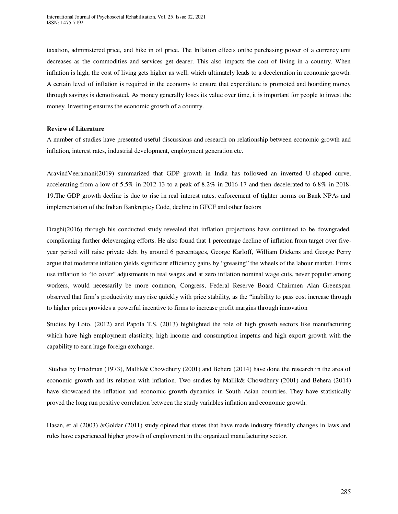taxation, administered price, and hike in oil price. The Inflation effects onthe purchasing power of a currency unit decreases as the commodities and services get dearer. This also impacts the cost of living in a country. When inflation is high, the cost of living gets higher as well, which ultimately leads to a deceleration in economic growth. A certain level of inflation is required in the economy to ensure that expenditure is promoted and hoarding money through savings is demotivated. As money generally loses its value over time, it is important for people to invest the money. Investing ensures the economic growth of a country.

### **Review of Literature**

A number of studies have presented useful discussions and research on relationship between economic growth and inflation, interest rates, industrial development, employment generation etc.

AravindVeeramani(2019) summarized that GDP growth in India has followed an inverted U-shaped curve, accelerating from a low of 5.5% in 2012-13 to a peak of 8.2% in 2016-17 and then decelerated to 6.8% in 2018- 19.The GDP growth decline is due to rise in real interest rates, enforcement of tighter norms on Bank NPAs and implementation of the Indian Bankruptcy Code, decline in GFCF and other factors

Draghi(2016) through his conducted study revealed that inflation projections have continued to be downgraded, complicating further deleveraging efforts. He also found that 1 percentage decline of inflation from target over fiveyear period will raise private debt by around 6 percentages, George Karloff, William Dickens and George Perry argue that moderate inflation yields significant efficiency gains by "greasing" the wheels of the labour market. Firms use inflation to "to cover" adjustments in real wages and at zero inflation nominal wage cuts, never popular among workers, would necessarily be more common, Congress, Federal Reserve Board Chairmen Alan Greenspan observed that firm's productivity may rise quickly with price stability, as the "inability to pass cost increase through to higher prices provides a powerful incentive to firms to increase profit margins through innovation

Studies by Loto, (2012) and Papola T.S. (2013) highlighted the role of high growth sectors like manufacturing which have high employment elasticity, high income and consumption impetus and high export growth with the capability to earn huge foreign exchange.

 Studies by Friedman (1973), Mallik& Chowdhury (2001) and Behera (2014) have done the research in the area of economic growth and its relation with inflation. Two studies by Mallik& Chowdhury (2001) and Behera (2014) have showcased the inflation and economic growth dynamics in South Asian countries. They have statistically proved the long run positive correlation between the study variables inflation and economic growth.

Hasan, et al (2003) &Goldar (2011) study opined that states that have made industry friendly changes in laws and rules have experienced higher growth of employment in the organized manufacturing sector.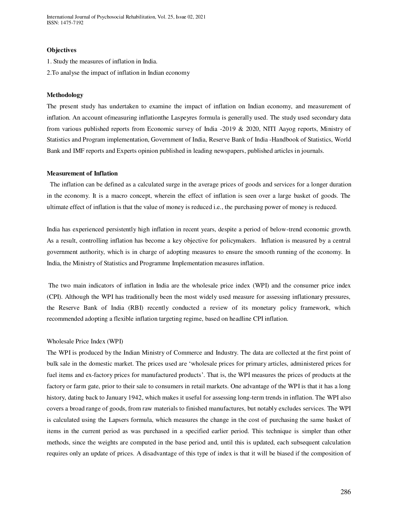International Journal of Psychosocial Rehabilitation, Vol. 25, Issue 02, 2021 ISSN: 1475-7192

#### **Objectives**

1. Study the measures of inflation in India.

2.To analyse the impact of inflation in Indian economy

#### **Methodology**

The present study has undertaken to examine the impact of inflation on Indian economy, and measurement of inflation. An account ofmeasuring inflationthe Laspeyres formula is generally used. The study used secondary data from various published reports from Economic survey of India -2019 & 2020, NITI Aayog reports, Ministry of Statistics and Program implementation, Government of India, Reserve Bank of India -Handbook of Statistics, World Bank and IMF reports and Experts opinion published in leading newspapers, published articles in journals.

#### **Measurement of Inflation**

 The inflation can be defined as a calculated surge in the average prices of goods and services for a longer duration in the economy. It is a macro concept, wherein the effect of inflation is seen over a large basket of goods. The ultimate effect of inflation is that the value of money is reduced i.e., the purchasing power of money is reduced.

India has experienced persistently high inflation in recent years, despite a period of below-trend economic growth. As a result, controlling inflation has become a key objective for policymakers. Inflation is measured by a central government authority, which is in charge of adopting measures to ensure the smooth running of the economy. In India, the Ministry of Statistics and Programme Implementation measures inflation.

 The two main indicators of inflation in India are the wholesale price index (WPI) and the consumer price index (CPI). Although the WPI has traditionally been the most widely used measure for assessing inflationary pressures, the Reserve Bank of India (RBI) recently conducted a review of its monetary policy framework, which recommended adopting a flexible inflation targeting regime, based on headline CPI inflation.

#### Wholesale Price Index (WPI)

The WPI is produced by the Indian Ministry of Commerce and Industry. The data are collected at the first point of bulk sale in the domestic market. The prices used are 'wholesale prices for primary articles, administered prices for fuel items and ex-factory prices for manufactured products'. That is, the WPI measures the prices of products at the factory or farm gate, prior to their sale to consumers in retail markets. One advantage of the WPI is that it has a long history, dating back to January 1942, which makes it useful for assessing long-term trends in inflation. The WPI also covers a broad range of goods, from raw materials to finished manufactures, but notably excludes services. The WPI is calculated using the Lapsers formula, which measures the change in the cost of purchasing the same basket of items in the current period as was purchased in a specified earlier period. This technique is simpler than other methods, since the weights are computed in the base period and, until this is updated, each subsequent calculation requires only an update of prices. A disadvantage of this type of index is that it will be biased if the composition of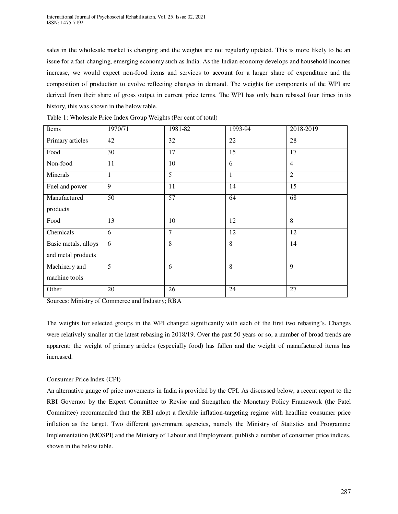sales in the wholesale market is changing and the weights are not regularly updated. This is more likely to be an issue for a fast-changing, emerging economy such as India. As the Indian economy develops and household incomes increase, we would expect non-food items and services to account for a larger share of expenditure and the composition of production to evolve reflecting changes in demand. The weights for components of the WPI are derived from their share of gross output in current price terms. The WPI has only been rebased four times in its history, this was shown in the below table.

| Items                | 1970/71         | 1981-82         | 1993-94         | 2018-2019       |
|----------------------|-----------------|-----------------|-----------------|-----------------|
| Primary articles     | 42              | 32              | 22              | $\overline{28}$ |
| Food                 | 30              | 17              | 15              | 17              |
| Non-food             | 11              | 10              | 6               | $\overline{4}$  |
| <b>Minerals</b>      | $\mathbf{1}$    | $\overline{5}$  | 1               | $\overline{2}$  |
| Fuel and power       | 9               | 11              | 14              | 15              |
| Manufactured         | $\overline{50}$ | 57              | 64              | 68              |
| products             |                 |                 |                 |                 |
| Food                 | 13              | 10              | 12              | 8               |
| Chemicals            | 6               | 7               | 12              | 12              |
| Basic metals, alloys | 6               | 8               | 8               | 14              |
| and metal products   |                 |                 |                 |                 |
| Machinery and        | $\overline{5}$  | 6               | $\overline{8}$  | 9               |
| machine tools        |                 |                 |                 |                 |
| Other                | 20              | $\overline{26}$ | $\overline{24}$ | $\overline{27}$ |

Table 1: Wholesale Price Index Group Weights (Per cent of total)

Sources: Ministry of Commerce and Industry; RBA

The weights for selected groups in the WPI changed significantly with each of the first two rebasing's. Changes were relatively smaller at the latest rebasing in 2018/19. Over the past 50 years or so, a number of broad trends are apparent: the weight of primary articles (especially food) has fallen and the weight of manufactured items has increased.

## Consumer Price Index (CPI)

An alternative gauge of price movements in India is provided by the CPI. As discussed below, a recent report to the RBI Governor by the Expert Committee to Revise and Strengthen the Monetary Policy Framework (the Patel Committee) recommended that the RBI adopt a flexible inflation-targeting regime with headline consumer price inflation as the target. Two different government agencies, namely the Ministry of Statistics and Programme Implementation (MOSPI) and the Ministry of Labour and Employment, publish a number of consumer price indices, shown in the below table.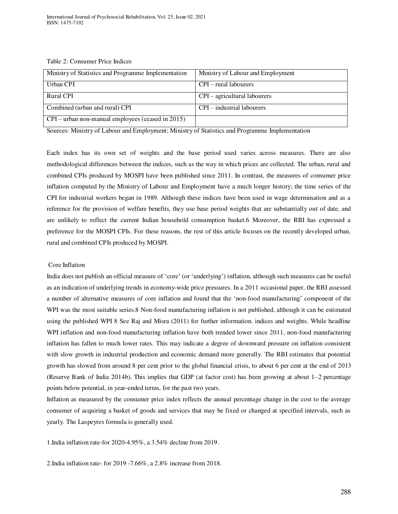Table 2: Consumer Price Indices

| Ministry of Statistics and Programme Implementation | Ministry of Labour and Employment |
|-----------------------------------------------------|-----------------------------------|
|                                                     |                                   |
| Urban CPI                                           | $CPI$ – rural labourers           |
|                                                     |                                   |
| Rural CPI                                           | CPI – agricultural labourers      |
|                                                     |                                   |
| Combined (urban and rural) CPI                      | CPI – industrial labourers        |
|                                                     |                                   |
| $CPI$ – urban non-manual employees (ceased in 2015) |                                   |
|                                                     |                                   |

Sources: Ministry of Labour and Employment; Ministry of Statistics and Programme Implementation

Each index has its own set of weights and the base period used varies across measures. There are also methodological differences between the indices, such as the way in which prices are collected. The urban, rural and combined CPIs produced by MOSPI have been published since 2011. In contrast, the measures of consumer price inflation computed by the Ministry of Labour and Employment have a much longer history; the time series of the CPI for industrial workers began in 1989. Although these indices have been used in wage determination and as a reference for the provision of welfare benefits, they use base period weights that are substantially out of date, and are unlikely to reflect the current Indian household consumption basket.6 Moreover, the RBI has expressed a preference for the MOSPI CPIs. For these reasons, the rest of this article focuses on the recently developed urban, rural and combined CPIs produced by MOSPI.

#### Core Inflation

India does not publish an official measure of 'core' (or 'underlying') inflation, although such measures can be useful as an indication of underlying trends in economy-wide price pressures. In a 2011 occasional paper, the RBI assessed a number of alternative measures of core inflation and found that the 'non-food manufacturing' component of the WPI was the most suitable series.8 Non-food manufacturing inflation is not published, although it can be estimated using the published WPI 8 See Raj and Misra (2011) for further information. indices and weights. While headline WPI inflation and non-food manufacturing inflation have both trended lower since 2011, non-food manufacturing inflation has fallen to much lower rates. This may indicate a degree of downward pressure on inflation consistent with slow growth in industrial production and economic demand more generally. The RBI estimates that potential growth has slowed from around 8 per cent prior to the global financial crisis, to about 6 per cent at the end of 2013 (Reserve Bank of India 2014b). This implies that GDP (at factor cost) has been growing at about 1–2 percentage points below potential, in year-ended terms, for the past two years.

Inflation as measured by the consumer price index reflects the annual percentage change in the cost to the average consumer of acquiring a basket of goods and services that may be fixed or changed at specified intervals, such as yearly. The Laspeyres formula is generally used.

1.India inflation rate-for 2020-4.95%, a 3.54% decline from 2019.

2.India inflation rate- for 2019 -7.66%, a 2.8% increase from 2018.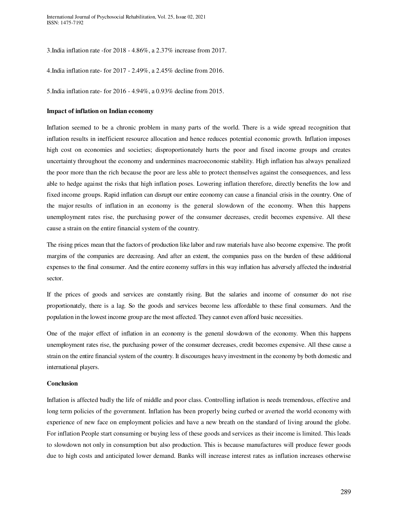3.India inflation rate -for 2018 - 4.86%, a 2.37% increase from 2017.

4.India inflation rate- for 2017 - 2.49%, a 2.45% decline from 2016.

5.India inflation rate- for 2016 - 4.94%, a 0.93% decline from 2015.

#### **Impact of inflation on Indian economy**

Inflation seemed to be a chronic problem in many parts of the world. There is a wide spread recognition that inflation results in inefficient resource allocation and hence reduces potential economic growth. Inflation imposes high cost on economies and societies; disproportionately hurts the poor and fixed income groups and creates uncertainty throughout the economy and undermines macroeconomic stability. High inflation has always penalized the poor more than the rich because the poor are less able to protect themselves against the consequences, and less able to hedge against the risks that high inflation poses. Lowering inflation therefore, directly benefits the low and fixed income groups. Rapid inflation can disrupt our entire economy can cause a financial crisis in the country. One of the major results of inflation in an economy is the general slowdown of the economy. When this happens unemployment rates rise, the purchasing power of the consumer decreases, credit becomes expensive. All these cause a strain on the entire financial system of the country.

The rising prices mean that the factors of production like labor and raw materials have also become expensive. The profit margins of the companies are decreasing. And after an extent, the companies pass on the burden of these additional expenses to the final consumer. And the entire economy suffers in this way inflation has adversely affected the industrial sector.

If the prices of goods and services are constantly rising. But the salaries and income of consumer do not rise proportionately, there is a lag. So the goods and services become less affordable to these final consumers. And the population in the lowest income group are the most affected. They cannot even afford basic necessities.

One of the major effect of inflation in an economy is the general slowdown of the economy. When this happens unemployment rates rise, the purchasing power of the consumer decreases, credit becomes expensive. All these cause a strain on the entire financial system of the country. It discourages heavy investment in the economy by both domestic and international players.

#### **Conclusion**

Inflation is affected badly the life of middle and poor class. Controlling inflation is needs tremendous, effective and long term policies of the government. Inflation has been properly being curbed or averted the world economy with experience of new face on employment policies and have a new breath on the standard of living around the globe. For inflation People start consuming or buying less of these goods and services as their income is limited. This leads to slowdown not only in consumption but also production. This is because manufactures will produce fewer goods due to high costs and anticipated lower demand. Banks will increase interest rates as inflation increases otherwise